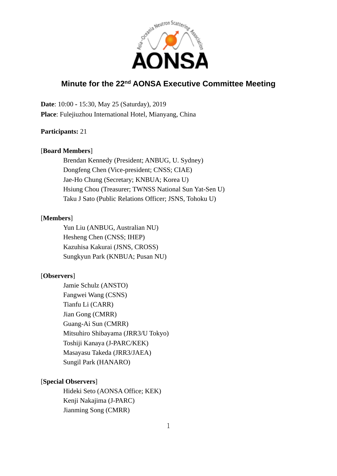

# **Minute for the 22nd AONSA Executive Committee Meeting**

**Date**: 10:00 **-** 15:30, May 25 (Saturday), 2019 **Place**: Fulejiuzhou International Hotel, Mianyang, China

## **Participants:** 21

## [**Board Members**]

Brendan Kennedy (President; ANBUG, U. Sydney) Dongfeng Chen (Vice-president; CNSS; CIAE) Jae-Ho Chung (Secretary; KNBUA; Korea U) Hsiung Chou (Treasurer; TWNSS National Sun Yat-Sen U) Taku J Sato (Public Relations Officer; JSNS, Tohoku U)

### [**Members**]

Yun Liu (ANBUG, Australian NU) Hesheng Chen (CNSS; IHEP) Kazuhisa Kakurai (JSNS, CROSS) Sungkyun Park (KNBUA; Pusan NU)

## [**Observers**]

Jamie Schulz (ANSTO) Fangwei Wang (CSNS) Tianfu Li (CARR) Jian Gong (CMRR) Guang-Ai Sun (CMRR) Mitsuhiro Shibayama (JRR3/U Tokyo) Toshiji Kanaya (J-PARC/KEK) Masayasu Takeda (JRR3/JAEA) Sungil Park (HANARO)

## [**Special Observers**]

Hideki Seto (AONSA Office; KEK) Kenji Nakajima (J-PARC) Jianming Song (CMRR)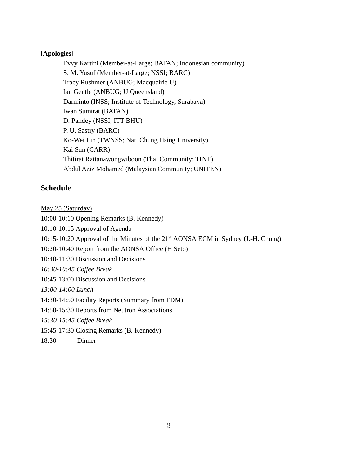## [**Apologies**]

Evvy Kartini (Member-at-Large; BATAN; Indonesian community) S. M. Yusuf (Member-at-Large; NSSI; BARC) Tracy Rushmer (ANBUG; Macquairie U) Ian Gentle (ANBUG; U Queensland) Darminto (INSS; Institute of Technology, Surabaya) Iwan Sumirat (BATAN) D. Pandey (NSSI; ITT BHU) P. U. Sastry (BARC) Ko-Wei Lin (TWNSS; Nat. Chung Hsing University) Kai Sun (CARR) Thitirat Rattanawongwiboon (Thai Community; TINT) Abdul Aziz Mohamed (Malaysian Community; UNITEN)

## **Schedule**

May 25 (Saturday)

10:00-10:10 Opening Remarks (B. Kennedy)

10:10-10:15 Approval of Agenda

10:15-10:20 Approval of the Minutes of the 21st AONSA ECM in Sydney (J.-H. Chung)

10:20-10:40 Report from the AONSA Office (H Seto)

10:40-11:30 Discussion and Decisions

*10:30-10:45 Coffee Break*

10:45-13:00 Discussion and Decisions

*13:00-14:00 Lunch*

14:30-14:50 Facility Reports (Summary from FDM)

14:50-15:30 Reports from Neutron Associations

*15:30-15:45 Coffee Break*

15:45-17:30 Closing Remarks (B. Kennedy)

18:30 - Dinner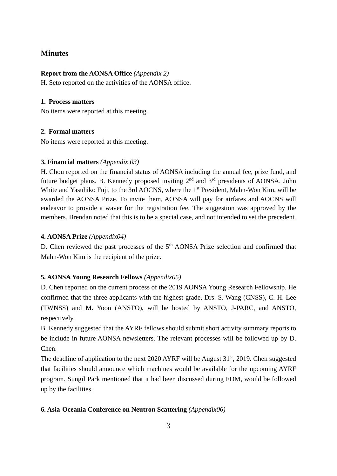## **Minutes**

## **Report from the AONSA Office** *(Appendix 2)*

H. Seto reported on the activities of the AONSA office.

## **1. Process matters**

No items were reported at this meeting.

## **2. Formal matters**

No items were reported at this meeting.

## **3. Financial matters** *(Appendix 03)*

H. Chou reported on the financial status of AONSA including the annual fee, prize fund, and future budget plans. B. Kennedy proposed inviting 2nd and 3rd presidents of AONSA, John White and Yasuhiko Fuji, to the 3rd AOCNS, where the 1<sup>st</sup> President, Mahn-Won Kim, will be awarded the AONSA Prize. To invite them, AONSA will pay for airfares and AOCNS will endeavor to provide a waver for the registration fee. The suggestion was approved by the members. Brendan noted that this is to be a special case, and not intended to set the precedent.

## **4. AONSA Prize** *(Appendix04)*

D. Chen reviewed the past processes of the  $5<sup>th</sup>$  AONSA Prize selection and confirmed that Mahn-Won Kim is the recipient of the prize.

## **5. AONSA Young Research Fellows** *(Appendix05)*

D. Chen reported on the current process of the 2019 AONSA Young Research Fellowship. He confirmed that the three applicants with the highest grade, Drs. S. Wang (CNSS), C.-H. Lee (TWNSS) and M. Yoon (ANSTO), will be hosted by ANSTO, J-PARC, and ANSTO, respectively.

B. Kennedy suggested that the AYRF fellows should submit short activity summary reports to be include in future AONSA newsletters. The relevant processes will be followed up by D. Chen.

The deadline of application to the next 2020 AYRF will be August 31<sup>st</sup>, 2019. Chen suggested that facilities should announce which machines would be available for the upcoming AYRF program. Sungil Park mentioned that it had been discussed during FDM, would be followed up by the facilities.

## **6. Asia-Oceania Conference on Neutron Scattering** *(Appendix06)*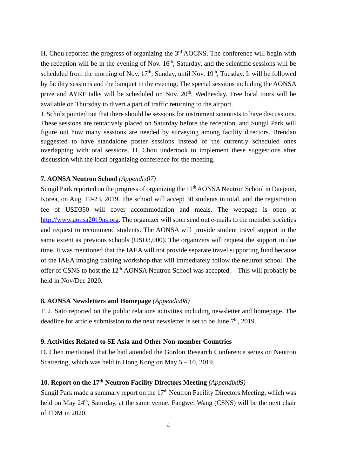H. Chou reported the progress of organizing the  $3<sup>rd</sup>$  AOCNS. The conference will begin with the reception will be in the evening of Nov.  $16<sup>th</sup>$ , Saturday, and the scientific sessions will be scheduled from the morning of Nov.  $17<sup>th</sup>$ , Sunday, until Nov.  $19<sup>th</sup>$ , Tuesday. It will be followed by facility sessions and the banquet in the evening. The special sessions including the AONSA prize and AYRF talks will be scheduled on Nov. 20<sup>th</sup>, Wednesday. Free local tours will be available on Thursday to divert a part of traffic returning to the airport.

J. Schulz pointed out that there should be sessions for instrument scientists to have discussions. These sessions are tentatively placed on Saturday before the reception, and Sungil Park will figure out how many sessions are needed by surveying among facility directors. Brendan suggested to have standalone poster sessions instead of the currently scheduled ones overlapping with oral sessions. H. Chou undertook to implement these suggestions after discussion with the local organizing conference for the meeting.

## **7. AONSA Neutron School** *(Appendix07)*

Sungil Park reported on the progress of organizing the 11<sup>th</sup> AONSA Neutron School in Daejeon, Korea, on Aug. 19-23, 2019. The school will accept 30 students in total, and the registration fee of USD350 will cover accommodation and meals. The webpage is open at [http://www.aonsa2019ns.org.](http://www.aonsa2019ns.org/) The organizer will soon send out e-mails to the member societies and request to recommend students. The AONSA will provide student travel support in the same extent as previous schools (USD3,000). The organizers will request the support in due time. It was mentioned that the IAEA will not provide separate travel supporting fund because of the IAEA imaging training workshop that will immediately follow the neutron school. The offer of CSNS to host the 12th AONSA Neutron School was accepted. This will probably be held in Nov/Dec 2020.

#### **8. AONSA Newsletters and Homepage** *(Appendix08)*

T. J. Sato reported on the public relations activities including newsletter and homepage. The deadline for article submission to the next newsletter is set to be June  $7<sup>th</sup>$ , 2019.

#### **9. Activities Related to SE Asia and Other Non-member Countries**

D. Chen mentioned that he had attended the Gordon Research Conference series on Neutron Scattering, which was held in Hong Kong on May 5 – 10, 2019.

### **10. Report on the 17th Neutron Facility Directors Meeting** *(Appendix09)*

Sungil Park made a summary report on the  $17<sup>th</sup>$  Neutron Facility Directors Meeting, which was held on May 24<sup>th</sup>, Saturday, at the same venue. Fangwei Wang (CSNS) will be the next chair of FDM in 2020.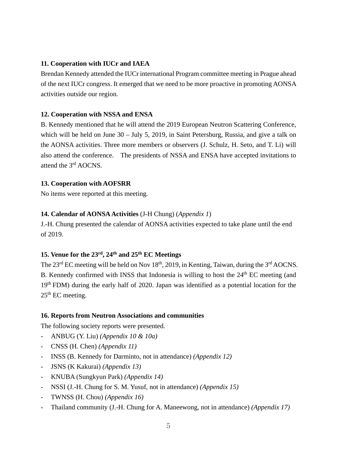#### **11. Cooperation with IUCr and IAEA**

Brendan Kennedy attended the IUCr international Program committee meeting in Prague ahead of the next IUCr congress. It emerged that we need to be more proactive in promoting AONSA activities outside our region.

#### **12. Cooperation with NSSA and ENSA**

B. Kennedy mentioned that he will attend the 2019 European Neutron Scattering Conference, which will be held on June 30 – July 5, 2019, in Saint Petersburg, Russia, and give a talk on the AONSA activities. Three more members or observers (J. Schulz, H. Seto, and T. Li) will also attend the conference. The presidents of NSSA and ENSA have accepted invitations to attend the 3rd AOCNS.

### **13. Cooperation with AOFSRR**

No items were reported at this meeting.

## **14. Calendar of AONSA Activities** (J-H Chung) (*Appendix 1*)

J.-H. Chung presented the calendar of AONSA activities expected to take plane until the end of 2019.

## **15. Venue for the 23rd, 24th and 25th EC Meetings**

The  $23<sup>rd</sup>$  EC meeting will be held on Nov 18<sup>th</sup>, 2019, in Kenting, Taiwan, during the  $3<sup>rd</sup>$  AOCNS. B. Kennedy confirmed with INSS that Indonesia is willing to host the  $24<sup>th</sup>$  EC meeting (and 19<sup>th</sup> FDM) during the early half of 2020. Japan was identified as a potential location for the  $25<sup>th</sup>$  EC meeting.

#### **16. Reports from Neutron Associations and communities**

The following society reports were presented.

- ANBUG (Y. Liu) *(Appendix 10 & 10a)*
- CNSS (H. Chen) *(Appendix 11)*
- INSS (B. Kennedy for Darminto, not in attendance) *(Appendix 12)*
- JSNS (K Kakurai) *(Appendix 13)*
- KNUBA (Sungkyun Park) *(Appendix 14)*
- NSSI (J.-H. Chung for S. M. Yusuf, not in attendance) *(Appendix 15)*
- TWNSS (H. Chou) *(Appendix 16)*
- Thailand community (J.-H. Chung for A. Maneewong, not in attendance) *(Appendix 17)*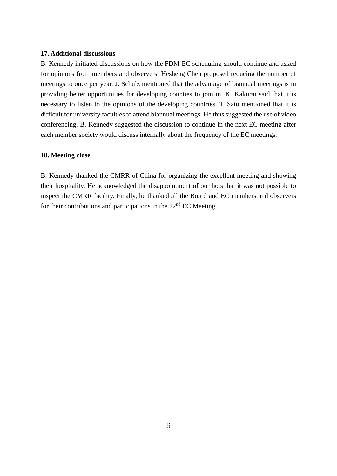#### **17. Additional discussions**

B. Kennedy initiated discussions on how the FDM-EC scheduling should continue and asked for opinions from members and observers. Hesheng Chen proposed reducing the number of meetings to once per year. J. Schulz mentioned that the advantage of biannual meetings is in providing better opportunities for developing counties to join in. K. Kakurai said that it is necessary to listen to the opinions of the developing countries. T. Sato mentioned that it is difficult for university faculties to attend biannual meetings. He thus suggested the use of video conferencing. B. Kennedy suggested the discussion to continue in the next EC meeting after each member society would discuss internally about the frequency of the EC meetings.

#### **18. Meeting close**

B. Kennedy thanked the CMRR of China for organizing the excellent meeting and showing their hospitality. He acknowledged the disappointment of our hots that it was not possible to inspect the CMRR facility. Finally, he thanked all the Board and EC members and observers for their contributions and participations in the  $22<sup>nd</sup>$  EC Meeting.